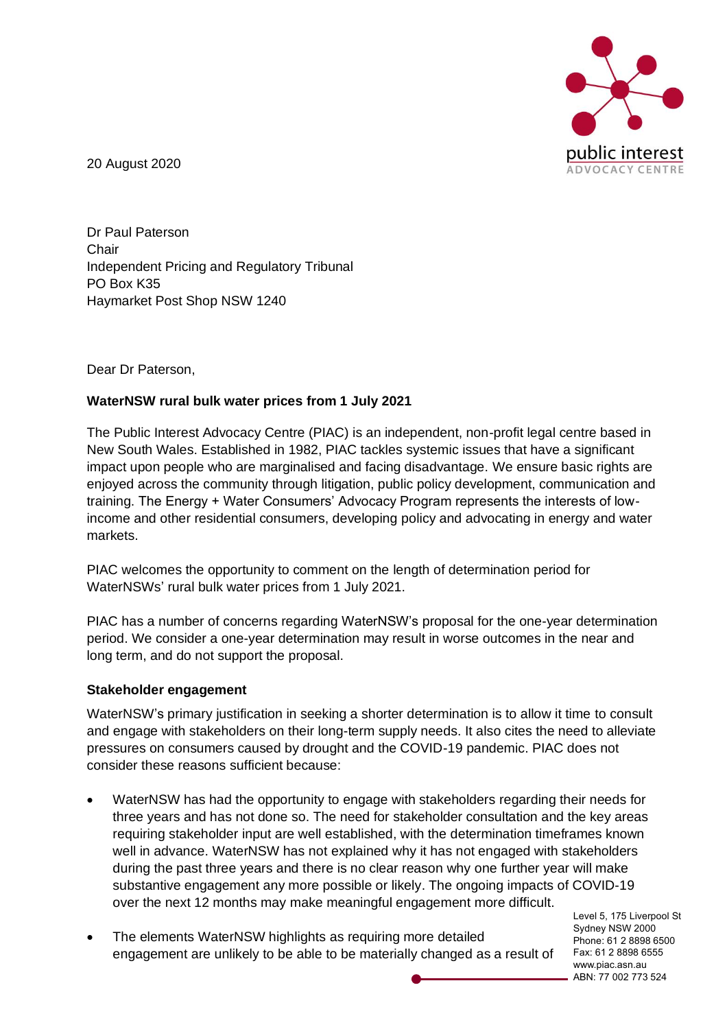

20 August 2020

Dr Paul Paterson **Chair** Independent Pricing and Regulatory Tribunal PO Box K35 Haymarket Post Shop NSW 1240

Dear Dr Paterson,

# **WaterNSW rural bulk water prices from 1 July 2021**

The Public Interest Advocacy Centre (PIAC) is an independent, non-profit legal centre based in New South Wales. Established in 1982, PIAC tackles systemic issues that have a significant impact upon people who are marginalised and facing disadvantage. We ensure basic rights are enjoyed across the community through litigation, public policy development, communication and training. The Energy + Water Consumers' Advocacy Program represents the interests of lowincome and other residential consumers, developing policy and advocating in energy and water markets.

PIAC welcomes the opportunity to comment on the length of determination period for WaterNSWs' rural bulk water prices from 1 July 2021.

PIAC has a number of concerns regarding WaterNSW's proposal for the one-year determination period. We consider a one-year determination may result in worse outcomes in the near and long term, and do not support the proposal.

#### **Stakeholder engagement**

WaterNSW's primary justification in seeking a shorter determination is to allow it time to consult and engage with stakeholders on their long-term supply needs. It also cites the need to alleviate pressures on consumers caused by drought and the COVID-19 pandemic. PIAC does not consider these reasons sufficient because:

- WaterNSW has had the opportunity to engage with stakeholders regarding their needs for three years and has not done so. The need for stakeholder consultation and the key areas requiring stakeholder input are well established, with the determination timeframes known well in advance. WaterNSW has not explained why it has not engaged with stakeholders during the past three years and there is no clear reason why one further year will make substantive engagement any more possible or likely. The ongoing impacts of COVID-19 over the next 12 months may make meaningful engagement more difficult.
- The elements WaterNSW highlights as requiring more detailed engagement are unlikely to be able to be materially changed as a result of

Level 5, 175 Liverpool St Sydney NSW 2000 Phone: 61 2 8898 6500 Fax: 61 2 8898 6555 www.piac.asn.au ABN: 77 002 773 524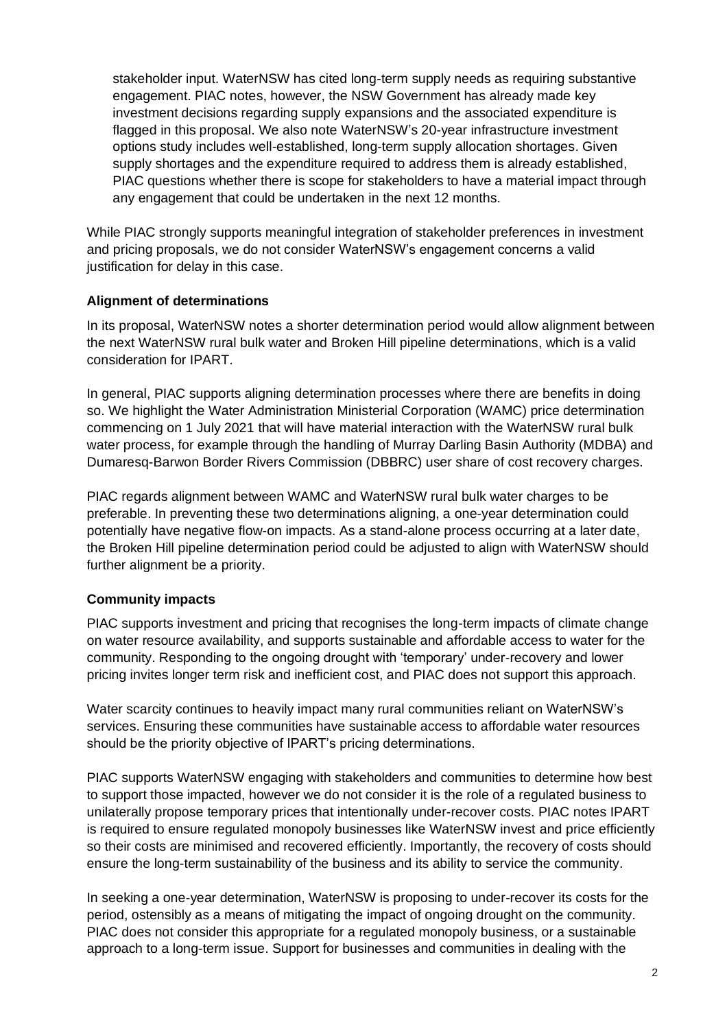stakeholder input. WaterNSW has cited long-term supply needs as requiring substantive engagement. PIAC notes, however, the NSW Government has already made key investment decisions regarding supply expansions and the associated expenditure is flagged in this proposal. We also note WaterNSW's 20-year infrastructure investment options study includes well-established, long-term supply allocation shortages. Given supply shortages and the expenditure required to address them is already established, PIAC questions whether there is scope for stakeholders to have a material impact through any engagement that could be undertaken in the next 12 months.

While PIAC strongly supports meaningful integration of stakeholder preferences in investment and pricing proposals, we do not consider WaterNSW's engagement concerns a valid justification for delay in this case.

## **Alignment of determinations**

In its proposal, WaterNSW notes a shorter determination period would allow alignment between the next WaterNSW rural bulk water and Broken Hill pipeline determinations, which is a valid consideration for IPART.

In general, PIAC supports aligning determination processes where there are benefits in doing so. We highlight the Water Administration Ministerial Corporation (WAMC) price determination commencing on 1 July 2021 that will have material interaction with the WaterNSW rural bulk water process, for example through the handling of Murray Darling Basin Authority (MDBA) and Dumaresq-Barwon Border Rivers Commission (DBBRC) user share of cost recovery charges.

PIAC regards alignment between WAMC and WaterNSW rural bulk water charges to be preferable. In preventing these two determinations aligning, a one-year determination could potentially have negative flow-on impacts. As a stand-alone process occurring at a later date, the Broken Hill pipeline determination period could be adjusted to align with WaterNSW should further alignment be a priority.

# **Community impacts**

PIAC supports investment and pricing that recognises the long-term impacts of climate change on water resource availability, and supports sustainable and affordable access to water for the community. Responding to the ongoing drought with 'temporary' under-recovery and lower pricing invites longer term risk and inefficient cost, and PIAC does not support this approach.

Water scarcity continues to heavily impact many rural communities reliant on WaterNSW's services. Ensuring these communities have sustainable access to affordable water resources should be the priority objective of IPART's pricing determinations.

PIAC supports WaterNSW engaging with stakeholders and communities to determine how best to support those impacted, however we do not consider it is the role of a regulated business to unilaterally propose temporary prices that intentionally under-recover costs. PIAC notes IPART is required to ensure regulated monopoly businesses like WaterNSW invest and price efficiently so their costs are minimised and recovered efficiently. Importantly, the recovery of costs should ensure the long-term sustainability of the business and its ability to service the community.

In seeking a one-year determination, WaterNSW is proposing to under-recover its costs for the period, ostensibly as a means of mitigating the impact of ongoing drought on the community. PIAC does not consider this appropriate for a regulated monopoly business, or a sustainable approach to a long-term issue. Support for businesses and communities in dealing with the